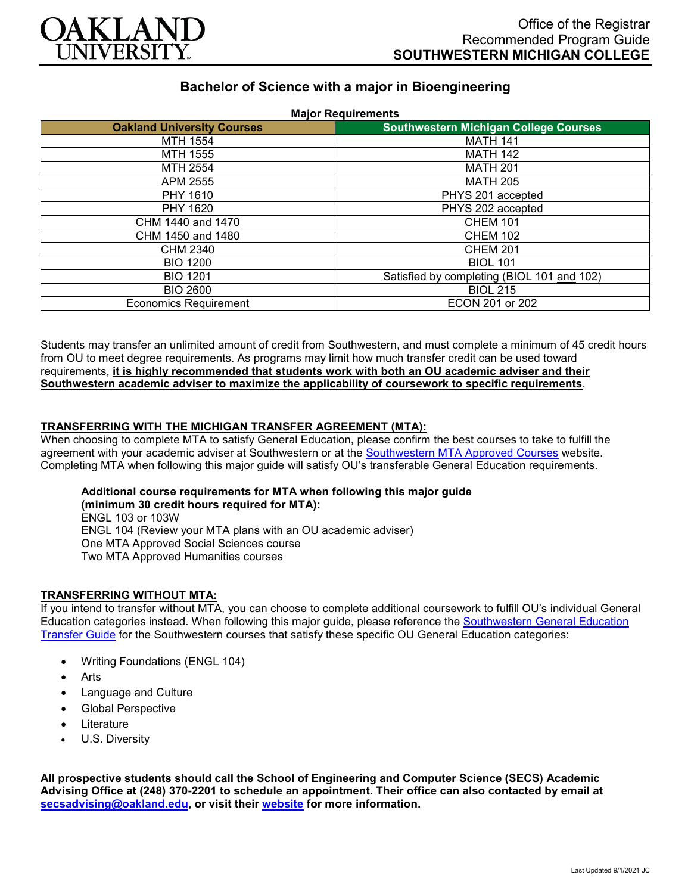

# **Bachelor of Science with a major in Bioengineering**

| <b>Major Requirements</b>         |                                              |
|-----------------------------------|----------------------------------------------|
| <b>Oakland University Courses</b> | <b>Southwestern Michigan College Courses</b> |
| MTH 1554                          | <b>MATH 141</b>                              |
| MTH 1555                          | <b>MATH 142</b>                              |
| MTH 2554                          | <b>MATH 201</b>                              |
| APM 2555                          | <b>MATH 205</b>                              |
| PHY 1610                          | PHYS 201 accepted                            |
| PHY 1620                          | PHYS 202 accepted                            |
| CHM 1440 and 1470                 | <b>CHEM 101</b>                              |
| CHM 1450 and 1480                 | <b>CHEM 102</b>                              |
| CHM 2340                          | <b>CHEM 201</b>                              |
| <b>BIO 1200</b>                   | <b>BIOL 101</b>                              |
| <b>BIO 1201</b>                   | Satisfied by completing (BIOL 101 and 102)   |
| <b>BIO 2600</b>                   | <b>BIOL 215</b>                              |
| <b>Economics Requirement</b>      | ECON 201 or 202                              |

Students may transfer an unlimited amount of credit from Southwestern, and must complete a minimum of 45 credit hours from OU to meet degree requirements. As programs may limit how much transfer credit can be used toward requirements, **it is highly recommended that students work with both an OU academic adviser and their Southwestern academic adviser to maximize the applicability of coursework to specific requirements**.

#### **TRANSFERRING WITH THE MICHIGAN TRANSFER AGREEMENT (MTA):**

When choosing to complete MTA to satisfy General Education, please confirm the best courses to take to fulfill the agreement with your academic adviser at Southwestern or at the [Southwestern MTA Approved Courses](https://www.swmich.edu/media/website/content-assets/documents/mta-ADA.pdf) website. Completing MTA when following this major guide will satisfy OU's transferable General Education requirements.

#### **Additional course requirements for MTA when following this major guide (minimum 30 credit hours required for MTA):** ENGL 103 or 103W ENGL 104 (Review your MTA plans with an OU academic adviser) One MTA Approved Social Sciences course

Two MTA Approved Humanities courses

## **TRANSFERRING WITHOUT MTA:**

If you intend to transfer without MTA, you can choose to complete additional coursework to fulfill OU's individual General Education categories instead. When following this major guide, please reference the [Southwestern General Education](https://www.oakland.edu/Assets/Oakland/program-guides/southwestern-michigan-college/university-general-education-requirements/Southwestern%20Gen%20Ed.pdf)  [Transfer Guide](https://www.oakland.edu/Assets/Oakland/program-guides/southwestern-michigan-college/university-general-education-requirements/Southwestern%20Gen%20Ed.pdf) for the Southwestern courses that satisfy these specific OU General Education categories:

- Writing Foundations (ENGL 104)
- **Arts**
- Language and Culture
- Global Perspective
- **Literature**
- U.S. Diversity

**All prospective students should call the School of Engineering and Computer Science (SECS) Academic Advising Office at (248) 370-2201 to schedule an appointment. Their office can also contacted by email at [secsadvising@oakland.edu,](mailto:secsadvising@oakland.edu) or visit their [website](https://wwwp.oakland.edu/secs/advising/) for more information.**